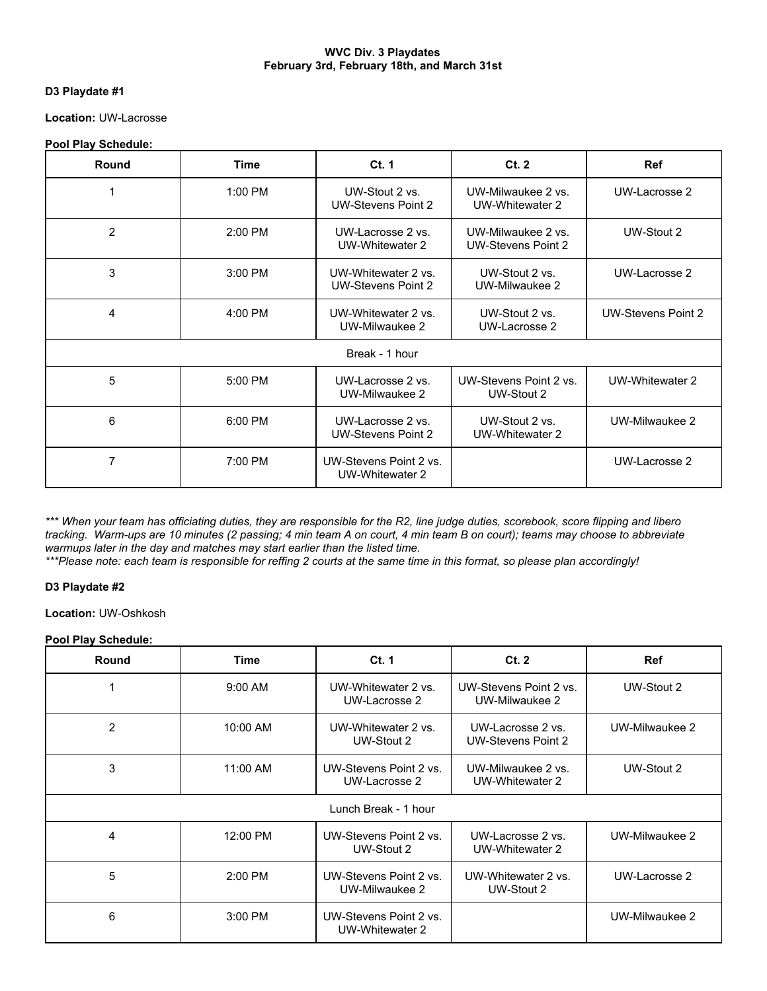### **WVC Div. 3 Playdates February 3rd, February 18th, and March 31st**

# **D3 Playdate #1**

**Location:** UW-Lacrosse

# **Pool Play Schedule:**

| Round          | <b>Time</b> | Ct. 1                                     | Ct.2                                     | <b>Ref</b>         |  |
|----------------|-------------|-------------------------------------------|------------------------------------------|--------------------|--|
|                | 1:00 PM     | UW-Stout 2 vs.<br>UW-Stevens Point 2      | UW-Milwaukee 2 vs.<br>UW-Whitewater 2    | UW-Lacrosse 2      |  |
| $\overline{2}$ | 2:00 PM     | UW-Lacrosse 2 vs.<br>UW-Whitewater 2      | UW-Milwaukee 2 vs.<br>UW-Stevens Point 2 | UW-Stout 2         |  |
| 3              | 3:00 PM     | UW-Whitewater 2 vs.<br>UW-Stevens Point 2 | UW-Stout 2 vs.<br>UW-Milwaukee 2         | UW-Lacrosse 2      |  |
| 4              | 4:00 PM     | UW-Whitewater 2 vs.<br>UW-Milwaukee 2     | UW-Stout 2 vs.<br>UW-Lacrosse 2          | UW-Stevens Point 2 |  |
| Break - 1 hour |             |                                           |                                          |                    |  |
| 5              | 5:00 PM     | UW-Lacrosse 2 vs.<br>UW-Milwaukee 2       | UW-Stevens Point 2 vs.<br>UW-Stout 2     | UW-Whitewater 2    |  |
| 6              | 6:00 PM     | UW-Lacrosse 2 vs.<br>UW-Stevens Point 2   | UW-Stout 2 vs.<br>UW-Whitewater 2        | UW-Milwaukee 2     |  |
| 7              | 7:00 PM     | UW-Stevens Point 2 vs.<br>UW-Whitewater 2 |                                          | UW-Lacrosse 2      |  |

*\*\*\* When your team has officiating duties, they are responsible for the R2, line judge duties, scorebook, score flipping and libero tracking. Warm-ups are 10 minutes (2 passing; 4 min team A on court, 4 min team B on court); teams may choose to abbreviate warmups later in the day and matches may start earlier than the listed time.*

*\*\*\*Please note: each team is responsible for reffing 2 courts at the same time in this format, so please plan accordingly!*

#### **D3 Playdate #2**

**Location:** UW-Oshkosh

## **Pool Play Schedule:**

| Round                | <b>Time</b> | Ct. 1                                     | Ct.2                                     | <b>Ref</b>     |  |
|----------------------|-------------|-------------------------------------------|------------------------------------------|----------------|--|
|                      | $9:00$ AM   | UW-Whitewater 2 vs.<br>UW-Lacrosse 2      | UW-Stevens Point 2 vs.<br>UW-Milwaukee 2 | UW-Stout 2     |  |
| 2                    | 10:00 AM    | UW-Whitewater 2 vs.<br>UW-Stout 2         | UW-Lacrosse 2 vs.<br>UW-Stevens Point 2  | UW-Milwaukee 2 |  |
| 3                    | 11:00 AM    | UW-Stevens Point 2 vs.<br>UW-Lacrosse 2   | UW-Milwaukee 2 vs.<br>UW-Whitewater 2    | UW-Stout 2     |  |
| Lunch Break - 1 hour |             |                                           |                                          |                |  |
| 4                    | 12:00 PM    | UW-Stevens Point 2 vs.<br>UW-Stout 2      | UW-Lacrosse 2 vs.<br>UW-Whitewater 2     | UW-Milwaukee 2 |  |
| 5                    | 2:00 PM     | UW-Stevens Point 2 vs.<br>UW-Milwaukee 2  | UW-Whitewater 2 vs.<br>UW-Stout 2        | UW-Lacrosse 2  |  |
| 6                    | $3:00$ PM   | UW-Stevens Point 2 vs.<br>UW-Whitewater 2 |                                          | UW-Milwaukee 2 |  |